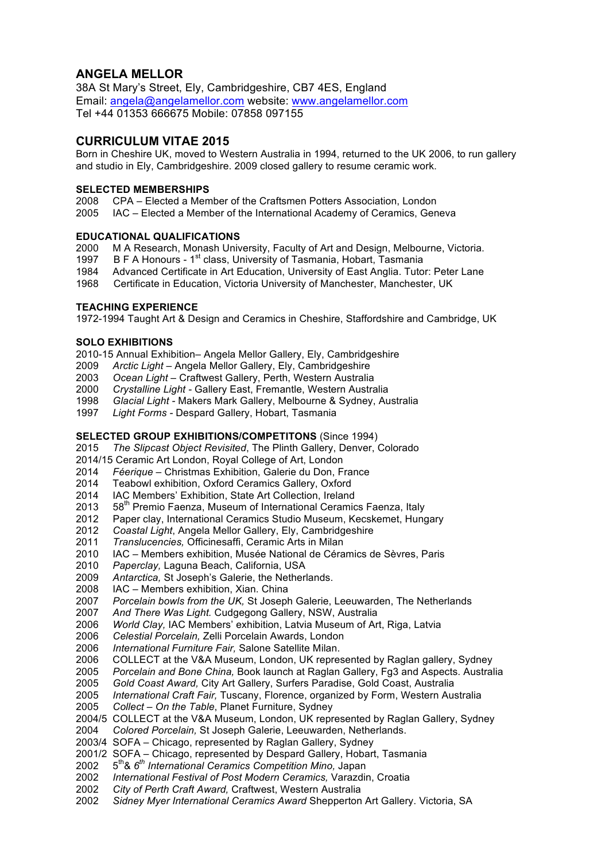# **ANGELA MELLOR**

38A St Mary's Street, Ely, Cambridgeshire, CB7 4ES, England Email: angela@angelamellor.com website: www.angelamellor.com Tel +44 01353 666675 Mobile: 07858 097155

## **CURRICULUM VITAE 2015**

Born in Cheshire UK, moved to Western Australia in 1994, returned to the UK 2006, to run gallery and studio in Ely, Cambridgeshire. 2009 closed gallery to resume ceramic work.

### **SELECTED MEMBERSHIPS**

- CPA Elected a Member of the Craftsmen Potters Association, London
- IAC Elected a Member of the International Academy of Ceramics, Geneva

### **EDUCATIONAL QUALIFICATIONS**

- M A Research, Monash University, Faculty of Art and Design, Melbourne, Victoria.
- 1997 B F A Honours  $1<sup>st</sup>$  class, University of Tasmania, Hobart, Tasmania
- Advanced Certificate in Art Education, University of East Anglia. Tutor: Peter Lane
- Certificate in Education, Victoria University of Manchester, Manchester, UK

### **TEACHING EXPERIENCE**

1972-1994 Taught Art & Design and Ceramics in Cheshire, Staffordshire and Cambridge, UK

### **SOLO EXHIBITIONS**

- 2010-15 Annual Exhibition*–* Angela Mellor Gallery, Ely, Cambridgeshire
- *Arctic Light –* Angela Mellor Gallery, Ely, Cambridgeshire
- *Ocean Light –* Craftwest Gallery, Perth, Western Australia
- *Crystalline Light -* Gallery East, Fremantle, Western Australia
- *Glacial Light -* Makers Mark Gallery, Melbourne & Sydney, Australia
- *Light Forms -* Despard Gallery, Hobart, Tasmania

### **SELECTED GROUP EXHIBITIONS/COMPETITONS** (Since 1994)

- *The Slipcast Object Revisited*, The Plinth Gallery, Denver, Colorado
- 2014/15 Ceramic Art London, Royal College of Art, London
- *Féerique* Christmas Exhibition, Galerie du Don, France
- Teabowl exhibition, Oxford Ceramics Gallery, Oxford
- IAC Members' Exhibition, State Art Collection, Ireland
- 2013 58<sup>th</sup> Premio Faenza, Museum of International Ceramics Faenza, Italy
- 2012 Paper clay, International Ceramics Studio Museum, Kecskemet, Hungary
- *Coastal Light*, Angela Mellor Gallery, Ely, Cambridgeshire
- *Translucencies,* Officinesaffi, Ceramic Arts in Milan
- IAC Members exhibition, Musée National de Céramics de Sèvres, Paris
- *Paperclay,* Laguna Beach, California, USA
- *Antarctica,* St Joseph's Galerie, the Netherlands.
- IAC Members exhibition, Xian. China
- *Porcelain bowls from the UK,* St Joseph Galerie, Leeuwarden, The Netherlands
- *And There Was Light.* Cudgegong Gallery, NSW, Australia
- *World Clay,* IAC Members' exhibition, Latvia Museum of Art, Riga, Latvia
- *Celestial Porcelain,* Zelli Porcelain Awards, London
- *International Furniture Fair,* Salone Satellite Milan.
- COLLECT at the V&A Museum, London, UK represented by Raglan gallery, Sydney
- *Porcelain and Bone China,* Book launch at Raglan Gallery, Fg3 and Aspects. Australia
- *Gold Coast Award,* City Art Gallery, Surfers Paradise, Gold Coast, Australia
- *International Craft Fair,* Tuscany, Florence, organized by Form, Western Australia *Collect* – *On the Table*, Planet Furniture, Sydney
- 2004/5 COLLECT at the V&A Museum, London, UK represented by Raglan Gallery, Sydney
- *Colored Porcelain,* St Joseph Galerie, Leeuwarden, Netherlands.
- 2003/4 SOFA Chicago, represented by Raglan Gallery, Sydney
- 2001/2 SOFA Chicago, represented by Despard Gallery, Hobart, Tasmania
- 5th& *6th International Ceramics Competition Mino,* Japan
- *International Festival of Post Modern Ceramics,* Varazdin, Croatia
- *City of Perth Craft Award,* Craftwest, Western Australia
- *Sidney Myer International Ceramics Award* Shepperton Art Gallery. Victoria, SA